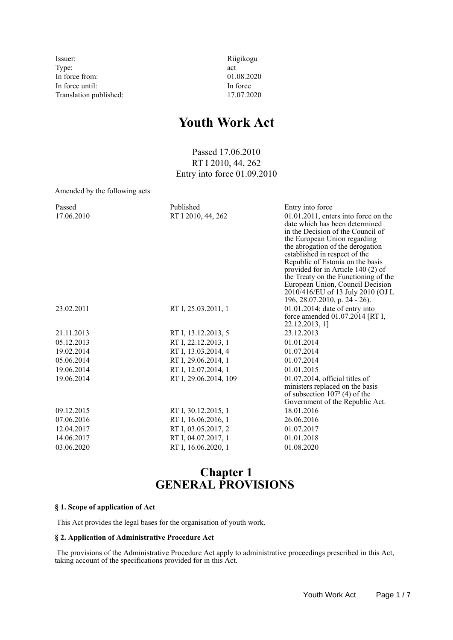Issuer: Riigikogu Type:  $\qquad \qquad \text{act}$ In force from: 01.08.2020 In force until: In force Translation published: 17.07.2020

# **Youth Work Act**

Passed 17.06.2010 RT I 2010, 44, 262 Entry into force 01.09.2010

Amended by the following acts

| Passed<br>17.06.2010 | Published<br>RT I 2010, 44, 262 | Entry into force<br>$01.01.2011$ , enters into force on the<br>date which has been determined<br>in the Decision of the Council of<br>the European Union regarding<br>the abrogation of the derogation<br>established in respect of the<br>Republic of Estonia on the basis<br>provided for in Article 140 (2) of<br>the Treaty on the Functioning of the<br>European Union, Council Decision<br>2010/416/EU of 13 July 2010 (OJ L<br>196, 28.07.2010, p. 24 - 26). |
|----------------------|---------------------------------|---------------------------------------------------------------------------------------------------------------------------------------------------------------------------------------------------------------------------------------------------------------------------------------------------------------------------------------------------------------------------------------------------------------------------------------------------------------------|
| 23.02.2011           | RT I, 25.03.2011, 1             | $01.01.2014$ ; date of entry into<br>force amended 01.07.2014 [RT I,<br>22.12.2013, 1]                                                                                                                                                                                                                                                                                                                                                                              |
| 21.11.2013           | RT I, 13.12.2013, 5             | 23.12.2013                                                                                                                                                                                                                                                                                                                                                                                                                                                          |
| 05.12.2013           | RT I, 22.12.2013, 1             | 01.01.2014                                                                                                                                                                                                                                                                                                                                                                                                                                                          |
| 19.02.2014           | RT I, 13.03.2014, 4             | 01.07.2014                                                                                                                                                                                                                                                                                                                                                                                                                                                          |
| 05.06.2014           | RT I, 29.06.2014, 1             | 01.07.2014                                                                                                                                                                                                                                                                                                                                                                                                                                                          |
| 19.06.2014           | RT I, 12.07.2014, 1             | 01.01.2015                                                                                                                                                                                                                                                                                                                                                                                                                                                          |
| 19.06.2014           | RT I, 29.06.2014, 109           | $01.07.2014$ , official titles of<br>ministers replaced on the basis<br>of subsection $1073$ (4) of the<br>Government of the Republic Act.                                                                                                                                                                                                                                                                                                                          |
| 09.12.2015           | RT I, 30.12.2015, 1             | 18.01.2016                                                                                                                                                                                                                                                                                                                                                                                                                                                          |
| 07.06.2016           | RT I, 16.06.2016, 1             | 26.06.2016                                                                                                                                                                                                                                                                                                                                                                                                                                                          |
| 12.04.2017           | RT I, 03.05.2017, 2             | 01.07.2017                                                                                                                                                                                                                                                                                                                                                                                                                                                          |
| 14.06.2017           | RT I, 04.07.2017, 1             | 01.01.2018                                                                                                                                                                                                                                                                                                                                                                                                                                                          |
| 03.06.2020           | RT I, 16.06.2020, 1             | 01.08.2020                                                                                                                                                                                                                                                                                                                                                                                                                                                          |

## **Chapter 1 GENERAL PROVISIONS**

#### **§ 1. Scope of application of Act**

This Act provides the legal bases for the organisation of youth work.

#### **§ 2. Application of Administrative Procedure Act**

 The provisions of the Administrative Procedure Act apply to administrative proceedings prescribed in this Act, taking account of the specifications provided for in this Act.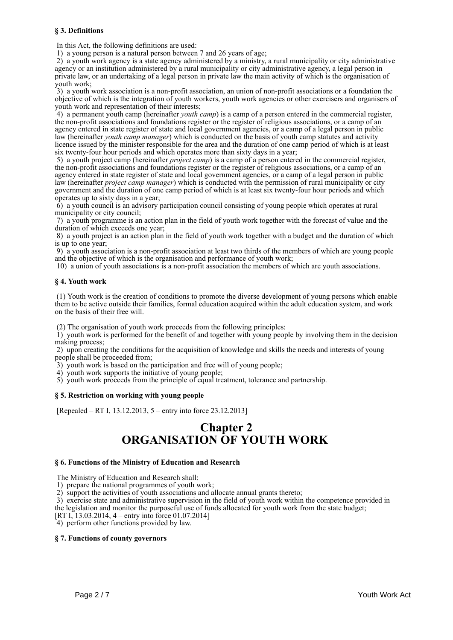#### **§ 3. Definitions**

In this Act, the following definitions are used:

1) a young person is a natural person between 7 and 26 years of age;

 2) a youth work agency is a state agency administered by a ministry, a rural municipality or city administrative agency or an institution administered by a rural municipality or city administrative agency, a legal person in private law, or an undertaking of a legal person in private law the main activity of which is the organisation of youth work;

 3) a youth work association is a non-profit association, an union of non-profit associations or a foundation the objective of which is the integration of youth workers, youth work agencies or other exercisers and organisers of youth work and representation of their interests;

 4) a permanent youth camp (hereinafter *youth camp*) is a camp of a person entered in the commercial register, the non-profit associations and foundations register or the register of religious associations, or a camp of an agency entered in state register of state and local government agencies, or a camp of a legal person in public law (hereinafter *youth camp manager*) which is conducted on the basis of youth camp statutes and activity licence issued by the minister responsible for the area and the duration of one camp period of which is at least six twenty-four hour periods and which operates more than sixty days in a year;

 5) a youth project camp (hereinafter *project camp*) is a camp of a person entered in the commercial register, the non-profit associations and foundations register or the register of religious associations, or a camp of an agency entered in state register of state and local government agencies, or a camp of a legal person in public law (hereinafter *project camp manager*) which is conducted with the permission of rural municipality or city government and the duration of one camp period of which is at least six twenty-four hour periods and which operates up to sixty days in a year;

 6) a youth council is an advisory participation council consisting of young people which operates at rural municipality or city council;

 7) a youth programme is an action plan in the field of youth work together with the forecast of value and the duration of which exceeds one year;

 8) a youth project is an action plan in the field of youth work together with a budget and the duration of which is up to one year;

 9) a youth association is a non-profit association at least two thirds of the members of which are young people and the objective of which is the organisation and performance of youth work;

10) a union of youth associations is a non-profit association the members of which are youth associations.

#### **§ 4. Youth work**

 (1) Youth work is the creation of conditions to promote the diverse development of young persons which enable them to be active outside their families, formal education acquired within the adult education system, and work on the basis of their free will.

(2) The organisation of youth work proceeds from the following principles:

 1) youth work is performed for the benefit of and together with young people by involving them in the decision making process;

 2) upon creating the conditions for the acquisition of knowledge and skills the needs and interests of young people shall be proceeded from;

3) youth work is based on the participation and free will of young people;

4) youth work supports the initiative of young people;

5) youth work proceeds from the principle of equal treatment, tolerance and partnership.

#### **§ 5. Restriction on working with young people**

[Repealed – RT I, 13.12.2013, 5 – entry into force 23.12.2013]

## **Chapter 2 ORGANISATION OF YOUTH WORK**

#### **§ 6. Functions of the Ministry of Education and Research**

The Ministry of Education and Research shall:

1) prepare the national programmes of youth work;

2) support the activities of youth associations and allocate annual grants thereto;

3) exercise state and administrative supervision in the field of youth work within the competence provided in

the legislation and monitor the purposeful use of funds allocated for youth work from the state budget;

[RT I, 13.03.2014, 4 – entry into force 01.07.2014]

4) perform other functions provided by law.

#### **§ 7. Functions of county governors**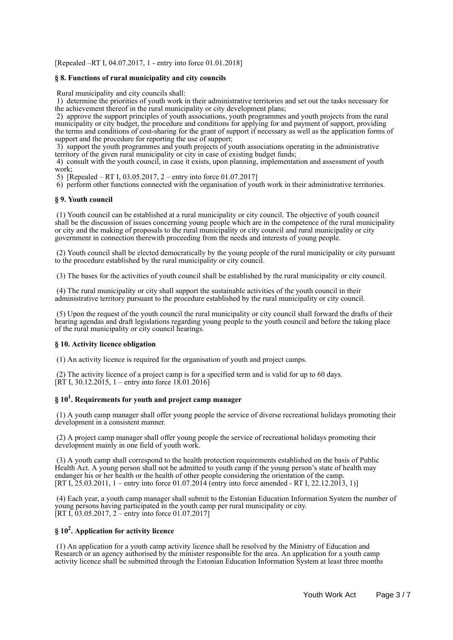[Repealed –RT I, 04.07.2017, 1 - entry into force 01.01.2018]

#### **§ 8. Functions of rural municipality and city councils**

Rural municipality and city councils shall:

 1) determine the priorities of youth work in their administrative territories and set out the tasks necessary for the achievement thereof in the rural municipality or city development plans;

 2) approve the support principles of youth associations, youth programmes and youth projects from the rural municipality or city budget, the procedure and conditions for applying for and payment of support, providing the terms and conditions of cost-sharing for the grant of support if necessary as well as the application forms of support and the procedure for reporting the use of support;

 3) support the youth programmes and youth projects of youth associations operating in the administrative territory of the given rural municipality or city in case of existing budget funds;

 4) consult with the youth council, in case it exists, upon planning, implementation and assessment of youth work;

5) [Repealed – RT I, 03.05.2017, 2 – entry into force 01.07.2017]

6) perform other functions connected with the organisation of youth work in their administrative territories.

#### **§ 9. Youth council**

 (1) Youth council can be established at a rural municipality or city council. The objective of youth council shall be the discussion of issues concerning young people which are in the competence of the rural municipality or city and the making of proposals to the rural municipality or city council and rural municipality or city government in connection therewith proceeding from the needs and interests of young people.

 (2) Youth council shall be elected democratically by the young people of the rural municipality or city pursuant to the procedure established by the rural municipality or city council.

(3) The bases for the activities of youth council shall be established by the rural municipality or city council.

 (4) The rural municipality or city shall support the sustainable activities of the youth council in their administrative territory pursuant to the procedure established by the rural municipality or city council.

 (5) Upon the request of the youth council the rural municipality or city council shall forward the drafts of their hearing agendas and draft legislations regarding young people to the youth council and before the taking place of the rural municipality or city council hearings.

#### **§ 10. Activity licence obligation**

(1) An activity licence is required for the organisation of youth and project camps.

 (2) The activity licence of a project camp is for a specified term and is valid for up to 60 days.  $[\hat{R}T I, 30.12.2015, 1 -$  entry into force 18.01.2016]

### **§ 10<sup>1</sup> . Requirements for youth and project camp manager**

 (1) A youth camp manager shall offer young people the service of diverse recreational holidays promoting their development in a consistent manner.

 (2) A project camp manager shall offer young people the service of recreational holidays promoting their development mainly in one field of youth work.

 (3) A youth camp shall correspond to the health protection requirements established on the basis of Public Health Act. A young person shall not be admitted to youth camp if the young person's state of health may endanger his or her health or the health of other people considering the orientation of the camp. [RT I, 25.03.2011, 1 – entry into force 01.07.2014 (entry into force amended - RT I, 22.12.2013, 1)]

 (4) Each year, a youth camp manager shall submit to the Estonian Education Information System the number of young persons having participated in the youth camp per rural municipality or city. [RT I, 03.05.2017,  $2 -$ entry into force 01.07.2017]

## **§ 10<sup>2</sup> . Application for activity licence**

 (1) An application for a youth camp activity licence shall be resolved by the Ministry of Education and Research or an agency authorised by the minister responsible for the area. An application for a youth camp activity licence shall be submitted through the Estonian Education Information System at least three months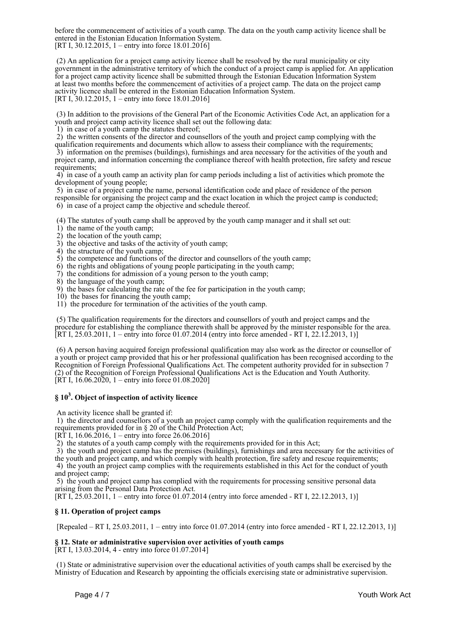before the commencement of activities of a youth camp. The data on the youth camp activity licence shall be entered in the Estonian Education Information System. [RT I, 30.12.2015, 1 – entry into force  $18.01.2016$ ]

 (2) An application for a project camp activity licence shall be resolved by the rural municipality or city government in the administrative territory of which the conduct of a project camp is applied for. An application for a project camp activity licence shall be submitted through the Estonian Education Information System at least two months before the commencement of activities of a project camp. The data on the project camp activity licence shall be entered in the Estonian Education Information System. [RT I, 30.12.2015, 1 – entry into force 18.01.2016]

 (3) In addition to the provisions of the General Part of the Economic Activities Code Act, an application for a youth and project camp activity licence shall set out the following data:

1) in case of a youth camp the statutes thereof;

2) the written consents of the director and counsellors of the youth and project camp complying with the

qualification requirements and documents which allow to assess their compliance with the requirements; 3) information on the premises (buildings), furnishings and area necessary for the activities of the youth and project camp, and information concerning the compliance thereof with health protection, fire safety and rescue requirements;

 4) in case of a youth camp an activity plan for camp periods including a list of activities which promote the development of young people;

 5) in case of a project camp the name, personal identification code and place of residence of the person responsible for organising the project camp and the exact location in which the project camp is conducted; 6) in case of a project camp the objective and schedule thereof.

(4) The statutes of youth camp shall be approved by the youth camp manager and it shall set out:

- 1) the name of the youth camp;
- 2) the location of the youth camp;
- 3) the objective and tasks of the activity of youth camp;
- 4) the structure of the youth camp;

5) the competence and functions of the director and counsellors of the youth camp;

6) the rights and obligations of young people participating in the youth camp;

7) the conditions for admission of a young person to the youth camp;

8) the language of the youth camp;

9) the bases for calculating the rate of the fee for participation in the youth camp;

10) the bases for financing the youth camp;

11) the procedure for termination of the activities of the youth camp.

 (5) The qualification requirements for the directors and counsellors of youth and project camps and the procedure for establishing the compliance therewith shall be approved by the minister responsible for the area. [RT I, 25.03.2011, 1 – entry into force 01.07.2014 (entry into force amended - RT I, 22.12.2013, 1)]

 (6) A person having acquired foreign professional qualification may also work as the director or counsellor of a youth or project camp provided that his or her professional qualification has been recognised according to the Recognition of Foreign Professional Qualifications Act. The competent authority provided for in subsection 7 (2) of the Recognition of Foreign Professional Qualifications Act is the Education and Youth Authority.  $[\hat{R}T I, 16.06.2020, 1 -$  entry into force 01.08.2020]

## **§ 10<sup>3</sup> . Object of inspection of activity licence**

An activity licence shall be granted if:

 1) the director and counsellors of a youth an project camp comply with the qualification requirements and the requirements provided for in § 20 of the Child Protection Act;

[RT I, 16.06.2016, 1 – entry into force 26.06.2016]

2) the statutes of a youth camp comply with the requirements provided for in this Act;

 3) the youth and project camp has the premises (buildings), furnishings and area necessary for the activities of the youth and project camp, and which comply with health protection, fire safety and rescue requirements; 4) the youth an project camp complies with the requirements established in this Act for the conduct of youth

and project camp; 5) the youth and project camp has complied with the requirements for processing sensitive personal data

arising from the Personal Data Protection Act.

[RT I, 25.03.2011, 1 – entry into force 01.07.2014 (entry into force amended - RT I, 22.12.2013, 1)]

#### **§ 11. Operation of project camps**

[Repealed – RT I, 25.03.2011, 1 – entry into force 01.07.2014 (entry into force amended - RT I, 22.12.2013, 1)]

#### **§ 12. State or administrative supervision over activities of youth camps**

[RT I, 13.03.2014, 4 - entry into force 01.07.2014]

 (1) State or administrative supervision over the educational activities of youth camps shall be exercised by the Ministry of Education and Research by appointing the officials exercising state or administrative supervision.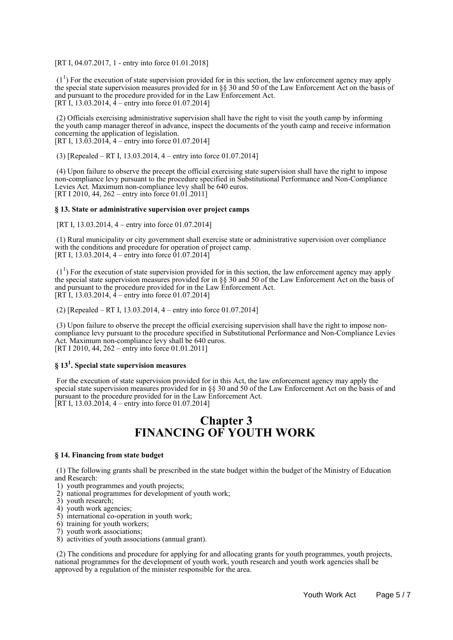[RT I, 04.07.2017, 1 - entry into force 01.01.2018]

 $(1<sup>1</sup>)$  For the execution of state supervision provided for in this section, the law enforcement agency may apply the special state supervision measures provided for in §§ 30 and 50 of the Law Enforcement Act on the basis of and pursuant to the procedure provided for in the Law Enforcement Act. [RT I, 13.03.2014,  $\dot{4}$  – entry into force 01.07.2014]

 (2) Officials exercising administrative supervision shall have the right to visit the youth camp by informing the youth camp manager thereof in advance, inspect the documents of the youth camp and receive information concerning the application of legislation. [RT I,  $13.\overline{0}3.201\overline{4}$ ,  $4$  – entry into force 01.07.2014]

(3) [Repealed – RT I, 13.03.2014, 4 – entry into force 01.07.2014]

 (4) Upon failure to observe the precept the official exercising state supervision shall have the right to impose non-compliance levy pursuant to the procedure specified in Substitutional Performance and Non-Compliance Levies Act. Maximum non-compliance levy shall be 640 euros. [RT I 2010, 44, 262 – entry into force 01.01.2011]

#### **§ 13. State or administrative supervision over project camps**

[RT I, 13.03.2014, 4 – entry into force 01.07.2014]

 (1) Rural municipality or city government shall exercise state or administrative supervision over compliance with the conditions and procedure for operation of project camp. [RT I, 13.03.2014, 4 – entry into force  $01.07.2014$ ]

 $(1<sup>1</sup>)$  For the execution of state supervision provided for in this section, the law enforcement agency may apply the special state supervision measures provided for in §§ 30 and 50 of the Law Enforcement Act on the basis of and pursuant to the procedure provided for in the Law Enforcement Act. [RT I, 13.03.2014, 4 – entry into force 01.07.2014]

(2) [Repealed – RT I, 13.03.2014, 4 – entry into force 01.07.2014]

 (3) Upon failure to observe the precept the official exercising supervision shall have the right to impose noncompliance levy pursuant to the procedure specified in Substitutional Performance and Non-Compliance Levies Act. Maximum non-compliance levy shall be 640 euros. [RT I 2010, 44, 262 – entry into force 01.01.2011]

### **§ 13<sup>1</sup> . Special state supervision measures**

 For the execution of state supervision provided for in this Act, the law enforcement agency may apply the special state supervision measures provided for in §§ 30 and 50 of the Law Enforcement Act on the basis of and pursuant to the procedure provided for in the Law Enforcement Act. [RT I, 13.03.2014, 4 – entry into force 01.07.2014]

## **Chapter 3 FINANCING OF YOUTH WORK**

#### **§ 14. Financing from state budget**

 (1) The following grants shall be prescribed in the state budget within the budget of the Ministry of Education and Research:

1) youth programmes and youth projects;

- 2) national programmes for development of youth work;
- 3) youth research;
- 4) youth work agencies;
- 5) international co-operation in youth work;
- 6) training for youth workers;
- 7) youth work associations;
- 8) activities of youth associations (annual grant).

 (2) The conditions and procedure for applying for and allocating grants for youth programmes, youth projects, national programmes for the development of youth work, youth research and youth work agencies shall be approved by a regulation of the minister responsible for the area.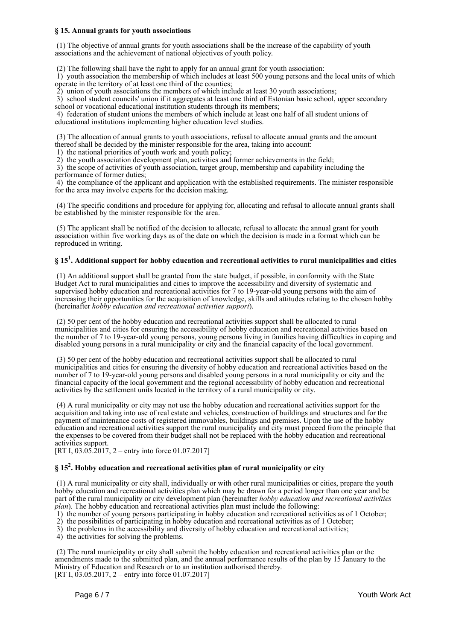#### **§ 15. Annual grants for youth associations**

 (1) The objective of annual grants for youth associations shall be the increase of the capability of youth associations and the achievement of national objectives of youth policy.

(2) The following shall have the right to apply for an annual grant for youth association:

 1) youth association the membership of which includes at least 500 young persons and the local units of which operate in the territory of at least one third of the counties;

2) union of youth associations the members of which include at least 30 youth associations;

 3) school student councils' union if it aggregates at least one third of Estonian basic school, upper secondary school or vocational educational institution students through its members;

 4) federation of student unions the members of which include at least one half of all student unions of educational institutions implementing higher education level studies.

 (3) The allocation of annual grants to youth associations, refusal to allocate annual grants and the amount thereof shall be decided by the minister responsible for the area, taking into account:

1) the national priorities of youth work and youth policy;

2) the youth association development plan, activities and former achievements in the field;

 3) the scope of activities of youth association, target group, membership and capability including the performance of former duties;

 4) the compliance of the applicant and application with the established requirements. The minister responsible for the area may involve experts for the decision making.

 (4) The specific conditions and procedure for applying for, allocating and refusal to allocate annual grants shall be established by the minister responsible for the area.

 (5) The applicant shall be notified of the decision to allocate, refusal to allocate the annual grant for youth association within five working days as of the date on which the decision is made in a format which can be reproduced in writing.

## **§ 15<sup>1</sup> . Additional support for hobby education and recreational activities to rural municipalities and cities**

 (1) An additional support shall be granted from the state budget, if possible, in conformity with the State Budget Act to rural municipalities and cities to improve the accessibility and diversity of systematic and supervised hobby education and recreational activities for 7 to 19-year-old young persons with the aim of increasing their opportunities for the acquisition of knowledge, skills and attitudes relating to the chosen hobby (hereinafter *hobby education and recreational activities support*).

 (2) 50 per cent of the hobby education and recreational activities support shall be allocated to rural municipalities and cities for ensuring the accessibility of hobby education and recreational activities based on the number of 7 to 19-year-old young persons, young persons living in families having difficulties in coping and disabled young persons in a rural municipality or city and the financial capacity of the local government.

 (3) 50 per cent of the hobby education and recreational activities support shall be allocated to rural municipalities and cities for ensuring the diversity of hobby education and recreational activities based on the number of 7 to 19-year-old young persons and disabled young persons in a rural municipality or city and the financial capacity of the local government and the regional accessibility of hobby education and recreational activities by the settlement units located in the territory of a rural municipality or city.

 (4) A rural municipality or city may not use the hobby education and recreational activities support for the acquisition and taking into use of real estate and vehicles, construction of buildings and structures and for the payment of maintenance costs of registered immovables, buildings and premises. Upon the use of the hobby education and recreational activities support the rural municipality and city must proceed from the principle that the expenses to be covered from their budget shall not be replaced with the hobby education and recreational activities support.

[RT I,  $03.05.2017$ , 2 – entry into force 01.07.2017]

### **§ 15<sup>2</sup> . Hobby education and recreational activities plan of rural municipality or city**

 (1) A rural municipality or city shall, individually or with other rural municipalities or cities, prepare the youth hobby education and recreational activities plan which may be drawn for a period longer than one year and be part of the rural municipality or city development plan (hereinafter *hobby education and recreational activities plan*). The hobby education and recreational activities plan must include the following:

1) the number of young persons participating in hobby education and recreational activities as of 1 October;

2) the possibilities of participating in hobby education and recreational activities as of 1 October;

3) the problems in the accessibility and diversity of hobby education and recreational activities;

4) the activities for solving the problems.

 (2) The rural municipality or city shall submit the hobby education and recreational activities plan or the amendments made to the submitted plan, and the annual performance results of the plan by 15 January to the Ministry of Education and Research or to an institution authorised thereby. [RT I, 03.05.2017, 2 – entry into force 01.07.2017]